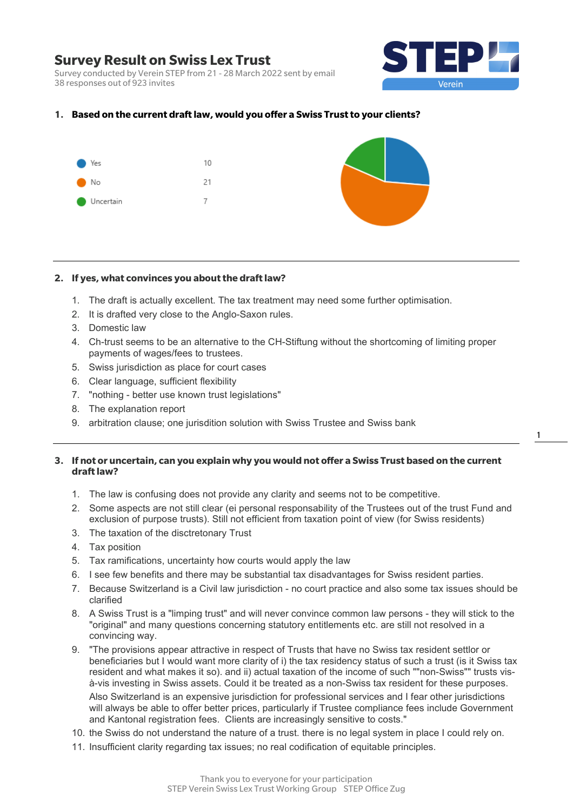Survey conducted by Verein STEP from 21 - 28 March 2022 sent by email 38 responses out of 923 invites



### **1. Based on the current draft law, would you offer a Swiss Trust to your clients?**



#### **2. If yes, what convinces you about the draft law?**

- 1. The draft is actually excellent. The tax treatment may need some further optimisation.
- 2. It is drafted very close to the Anglo-Saxon rules.
- 3. Domestic law
- 4. Ch-trust seems to be an alternative to the CH-Stiftung without the shortcoming of limiting proper payments of wages/fees to trustees.
- 5. Swiss jurisdiction as place for court cases
- 6. Clear language, sufficient flexibility
- 7. "nothing better use known trust legislations"
- 8. The explanation report
- 9. arbitration clause; one jurisdition solution with Swiss Trustee and Swiss bank

## **3. If not or uncertain, can you explain why you would not offer a Swiss Trust based on the current draft law?**

- 1. The law is confusing does not provide any clarity and seems not to be competitive.
- 2. Some aspects are not still clear (ei personal responsability of the Trustees out of the trust Fund and exclusion of purpose trusts). Still not efficient from taxation point of view (for Swiss residents)
- 3. The taxation of the disctretonary Trust
- 4. Tax position
- 5. Tax ramifications, uncertainty how courts would apply the law
- 6. I see few benefits and there may be substantial tax disadvantages for Swiss resident parties.
- 7. Because Switzerland is a Civil law jurisdiction no court practice and also some tax issues should be clarified
- 8. A Swiss Trust is a "limping trust" and will never convince common law persons they will stick to the "original" and many questions concerning statutory entitlements etc. are still not resolved in a convincing way.
- 9. "The provisions appear attractive in respect of Trusts that have no Swiss tax resident settlor or beneficiaries but I would want more clarity of i) the tax residency status of such a trust (is it Swiss tax resident and what makes it so). and ii) actual taxation of the income of such ""non-Swiss"" trusts visà-vis investing in Swiss assets. Could it be treated as a non-Swiss tax resident for these purposes. Also Switzerland is an expensive jurisdiction for professional services and I fear other jurisdictions will always be able to offer better prices, particularly if Trustee compliance fees include Government and Kantonal registration fees. Clients are increasingly sensitive to costs."
- 10. the Swiss do not understand the nature of a trust. there is no legal system in place I could rely on.
- 11. Insufficient clarity regarding tax issues; no real codification of equitable principles.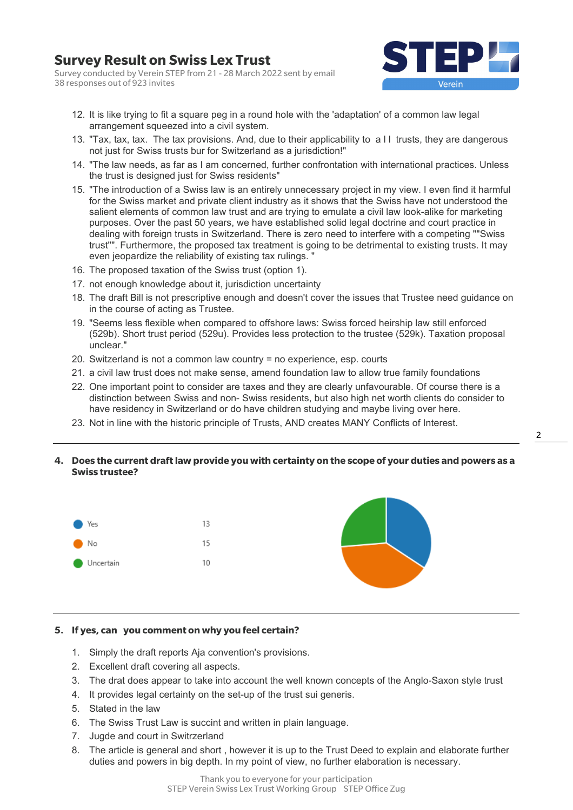Survey conducted by Verein STEP from 21 - 28 March 2022 sent by email 38 responses out of 923 invites



- 12. It is like trying to fit a square peg in a round hole with the 'adaptation' of a common law legal arrangement squeezed into a civil system.
- 13. "Tax, tax, tax. The tax provisions. And, due to their applicability to a l l trusts, they are dangerous not just for Swiss trusts bur for Switzerland as a jurisdiction!"
- 14. "The law needs, as far as I am concerned, further confrontation with international practices. Unless the trust is designed just for Swiss residents"
- 15. "The introduction of a Swiss law is an entirely unnecessary project in my view. I even find it harmful for the Swiss market and private client industry as it shows that the Swiss have not understood the salient elements of common law trust and are trying to emulate a civil law look-alike for marketing purposes. Over the past 50 years, we have established solid legal doctrine and court practice in dealing with foreign trusts in Switzerland. There is zero need to interfere with a competing ""Swiss trust"". Furthermore, the proposed tax treatment is going to be detrimental to existing trusts. It may even jeopardize the reliability of existing tax rulings. "
- 16. The proposed taxation of the Swiss trust (option 1).
- 17. not enough knowledge about it, jurisdiction uncertainty
- 18. The draft Bill is not prescriptive enough and doesn't cover the issues that Trustee need guidance on in the course of acting as Trustee.
- 19. "Seems less flexible when compared to offshore laws: Swiss forced heirship law still enforced (529b). Short trust period (529u). Provides less protection to the trustee (529k). Taxation proposal unclear."
- 20. Switzerland is not a common law country = no experience, esp. courts
- 21. a civil law trust does not make sense, amend foundation law to allow true family foundations
- 22. One important point to consider are taxes and they are clearly unfavourable. Of course there is a distinction between Swiss and non- Swiss residents, but also high net worth clients do consider to have residency in Switzerland or do have children studying and maybe living over here.
- 23. Not in line with the historic principle of Trusts, AND creates MANY Conflicts of Interest.

### **4. Does the current draft law provide you with certainty on the scope of your duties and powers as a Swiss trustee?**



#### **5. If yes, can you comment on why you feel certain?**

- 1. Simply the draft reports Aja convention's provisions.
- 2. Excellent draft covering all aspects.
- 3. The drat does appear to take into account the well known concepts of the Anglo-Saxon style trust
- 4. It provides legal certainty on the set-up of the trust sui generis.
- 5. Stated in the law
- 6. The Swiss Trust Law is succint and written in plain language.
- 7. Jugde and court in Switrzerland
- 8. The article is general and short , however it is up to the Trust Deed to explain and elaborate further duties and powers in big depth. In my point of view, no further elaboration is necessary.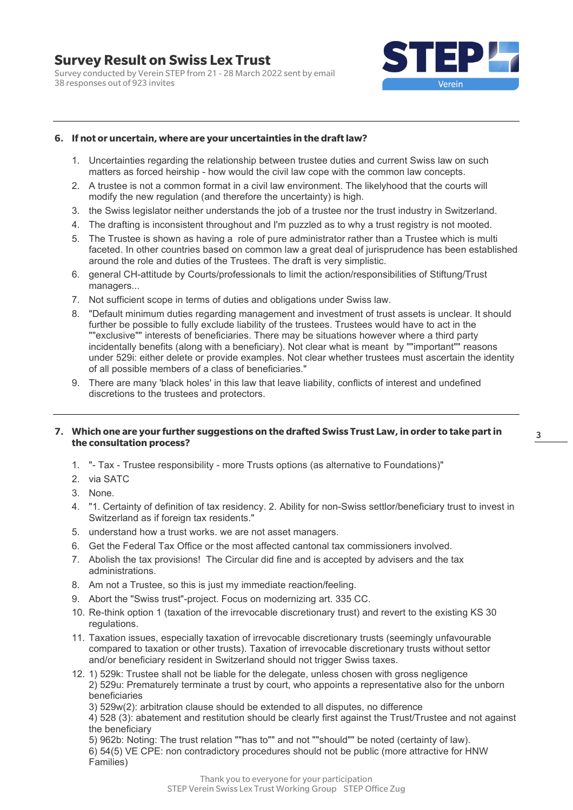**Survey Result on Swiss Lex Trust**  Survey conducted by Verein STEP from 21 - 28 March 2022 sent by email

38 responses out of 923 invites



## **6. If not or uncertain, where are your uncertainties in the draft law?**

- 1. Uncertainties regarding the relationship between trustee duties and current Swiss law on such matters as forced heirship - how would the civil law cope with the common law concepts.
- 2. A trustee is not a common format in a civil law environment. The likelyhood that the courts will modify the new regulation (and therefore the uncertainty) is high.
- 3. the Swiss legislator neither understands the job of a trustee nor the trust industry in Switzerland.
- 4. The drafting is inconsistent throughout and I'm puzzled as to why a trust registry is not mooted.
- 5. The Trustee is shown as having a role of pure administrator rather than a Trustee which is multi faceted. In other countries based on common law a great deal of jurisprudence has been established around the role and duties of the Trustees. The draft is very simplistic.
- 6. general CH-attitude by Courts/professionals to limit the action/responsibilities of Stiftung/Trust managers...
- 7. Not sufficient scope in terms of duties and obligations under Swiss law.
- 8. "Default minimum duties regarding management and investment of trust assets is unclear. It should further be possible to fully exclude liability of the trustees. Trustees would have to act in the ""exclusive"" interests of beneficiaries. There may be situations however where a third party incidentally benefits (along with a beneficiary). Not clear what is meant by ""important"" reasons under 529i: either delete or provide examples. Not clear whether trustees must ascertain the identity of all possible members of a class of beneficiaries."
- 9. There are many 'black holes' in this law that leave liability, conflicts of interest and undefined discretions to the trustees and protectors.

## **7. Which one are your further suggestions on the drafted Swiss Trust Law, in order to take part in the consultation process?**

- 1. "- Tax Trustee responsibility more Trusts options (as alternative to Foundations)"
- 2. via SATC
- 3. None.
- 4. "1. Certainty of definition of tax residency. 2. Ability for non-Swiss settlor/beneficiary trust to invest in Switzerland as if foreign tax residents."
- 5. understand how a trust works. we are not asset managers.
- 6. Get the Federal Tax Office or the most affected cantonal tax commissioners involved.
- 7. Abolish the tax provisions! The Circular did fine and is accepted by advisers and the tax administrations.
- 8. Am not a Trustee, so this is just my immediate reaction/feeling.
- 9. Abort the "Swiss trust"-project. Focus on modernizing art. 335 CC.
- 10. Re-think option 1 (taxation of the irrevocable discretionary trust) and revert to the existing KS 30 regulations.
- 11. Taxation issues, especially taxation of irrevocable discretionary trusts (seemingly unfavourable compared to taxation or other trusts). Taxation of irrevocable discretionary trusts without settor and/or beneficiary resident in Switzerland should not trigger Swiss taxes.
- 12. 1) 529k: Trustee shall not be liable for the delegate, unless chosen with gross negligence 2) 529u: Prematurely terminate a trust by court, who appoints a representative also for the unborn beneficiaries
	- 3) 529w(2): arbitration clause should be extended to all disputes, no difference
	- 4) 528 (3): abatement and restitution should be clearly first against the Trust/Trustee and not against the beneficiary

5) 962b: Noting: The trust relation ""has to"" and not ""should"" be noted (certainty of law). 6) 54(5) VE CPE: non contradictory procedures should not be public (more attractive for HNW Families)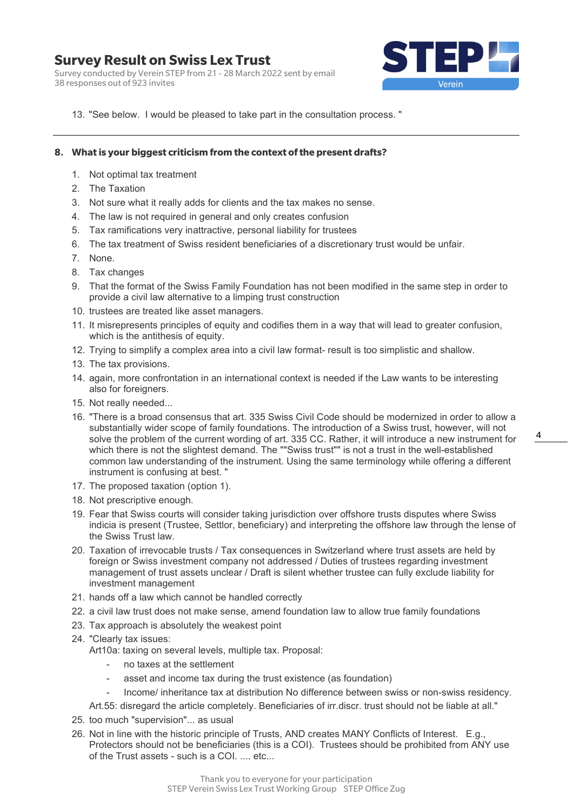Survey conducted by Verein STEP from 21 - 28 March 2022 sent by email 38 responses out of 923 invites



13. "See below. I would be pleased to take part in the consultation process. "

### **8. What is your biggest criticism from the context of the present drafts?**

- 1. Not optimal tax treatment
- 2. The Taxation
- 3. Not sure what it really adds for clients and the tax makes no sense.
- 4. The law is not required in general and only creates confusion
- 5. Tax ramifications very inattractive, personal liability for trustees
- 6. The tax treatment of Swiss resident beneficiaries of a discretionary trust would be unfair.
- 7. None.
- 8. Tax changes
- 9. That the format of the Swiss Family Foundation has not been modified in the same step in order to provide a civil law alternative to a limping trust construction
- 10. trustees are treated like asset managers.
- 11. It misrepresents principles of equity and codifies them in a way that will lead to greater confusion, which is the antithesis of equity.
- 12. Trying to simplify a complex area into a civil law format- result is too simplistic and shallow.
- 13. The tax provisions.
- 14. again, more confrontation in an international context is needed if the Law wants to be interesting also for foreigners.
- 15. Not really needed...
- 16. "There is a broad consensus that art. 335 Swiss Civil Code should be modernized in order to allow a substantially wider scope of family foundations. The introduction of a Swiss trust, however, will not solve the problem of the current wording of art. 335 CC. Rather, it will introduce a new instrument for which there is not the slightest demand. The ""Swiss trust"" is not a trust in the well-established common law understanding of the instrument. Using the same terminology while offering a different instrument is confusing at best. "
- 17. The proposed taxation (option 1).
- 18. Not prescriptive enough.
- 19. Fear that Swiss courts will consider taking jurisdiction over offshore trusts disputes where Swiss indicia is present (Trustee, Settlor, beneficiary) and interpreting the offshore law through the lense of the Swiss Trust law.
- 20. Taxation of irrevocable trusts / Tax consequences in Switzerland where trust assets are held by foreign or Swiss investment company not addressed / Duties of trustees regarding investment management of trust assets unclear / Draft is silent whether trustee can fully exclude liability for investment management
- 21. hands off a law which cannot be handled correctly
- 22. a civil law trust does not make sense, amend foundation law to allow true family foundations
- 23. Tax approach is absolutely the weakest point
- 24. "Clearly tax issues:
	- Art10a: taxing on several levels, multiple tax. Proposal:
		- no taxes at the settlement
		- asset and income tax during the trust existence (as foundation)
		- Income/ inheritance tax at distribution No difference between swiss or non-swiss residency.
	- Art.55: disregard the article completely. Beneficiaries of irr.discr. trust should not be liable at all."
- 25. too much "supervision"... as usual
- 26. Not in line with the historic principle of Trusts, AND creates MANY Conflicts of Interest. E.g., Protectors should not be beneficiaries (this is a COI). Trustees should be prohibited from ANY use of the Trust assets - such is a COI. .... etc...